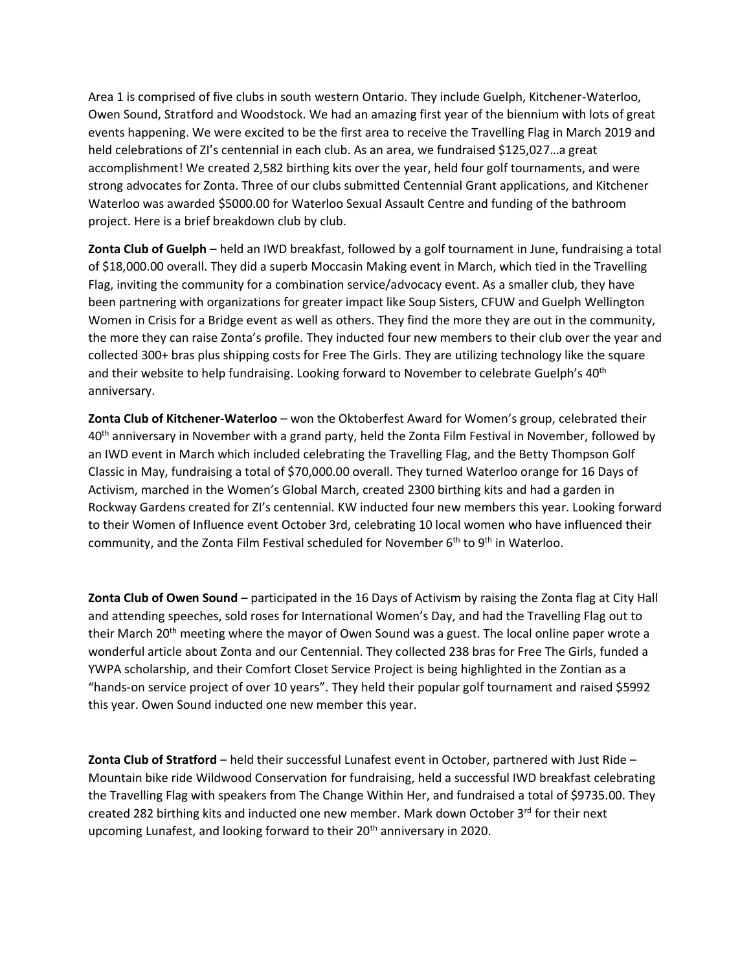Area 1 is comprised of five clubs in south western Ontario. They include Guelph, Kitchener-Waterloo, Owen Sound, Stratford and Woodstock. We had an amazing first year of the biennium with lots of great events happening. We were excited to be the first area to receive the Travelling Flag in March 2019 and held celebrations of ZI's centennial in each club. As an area, we fundraised \$125,027...a great accomplishment! We created 2,582 birthing kits over the year, held four golf tournaments, and were strong advocates for Zonta. Three of our clubs submitted Centennial Grant applications, and Kitchener Waterloo was awarded \$5000.00 for Waterloo Sexual Assault Centre and funding of the bathroom project. Here is a brief breakdown club by club.

**Zonta Club of Guelph** – held an IWD breakfast, followed by a golf tournament in June, fundraising a total of \$18,000.00 overall. They did a superb Moccasin Making event in March, which tied in the Travelling Flag, inviting the community for a combination service/advocacy event. As a smaller club, they have been partnering with organizations for greater impact like Soup Sisters, CFUW and Guelph Wellington Women in Crisis for a Bridge event as well as others. They find the more they are out in the community, the more they can raise Zonta's profile. They inducted four new members to their club over the year and collected 300+ bras plus shipping costs for Free The Girls. They are utilizing technology like the square and their website to help fundraising. Looking forward to November to celebrate Guelph's 40<sup>th</sup> anniversary.

**Zonta Club of Kitchener-Waterloo** – won the Oktoberfest Award for Women's group, celebrated their 40<sup>th</sup> anniversary in November with a grand party, held the Zonta Film Festival in November, followed by an IWD event in March which included celebrating the Travelling Flag, and the Betty Thompson Golf Classic in May, fundraising a total of \$70,000.00 overall. They turned Waterloo orange for 16 Days of Activism, marched in the Women's Global March, created 2300 birthing kits and had a garden in Rockway Gardens created for ZI's centennial. KW inducted four new members this year. Looking forward to their Women of Influence event October 3rd, celebrating 10 local women who have influenced their community, and the Zonta Film Festival scheduled for November 6<sup>th</sup> to 9<sup>th</sup> in Waterloo.

**Zonta Club of Owen Sound** – participated in the 16 Days of Activism by raising the Zonta flag at City Hall and attending speeches, sold roses for International Women's Day, and had the Travelling Flag out to their March 20<sup>th</sup> meeting where the mayor of Owen Sound was a guest. The local online paper wrote a wonderful article about Zonta and our Centennial. They collected 238 bras for Free The Girls, funded a YWPA scholarship, and their Comfort Closet Service Project is being highlighted in the Zontian as a "hands-on service project of over 10 years". They held their popular golf tournament and raised \$5992 this year. Owen Sound inducted one new member this year.

**Zonta Club of Stratford** – held their successful Lunafest event in October, partnered with Just Ride – Mountain bike ride Wildwood Conservation for fundraising, held a successful IWD breakfast celebrating the Travelling Flag with speakers from The Change Within Her, and fundraised a total of \$9735.00. They created 282 birthing kits and inducted one new member. Mark down October  $3<sup>rd</sup>$  for their next upcoming Lunafest, and looking forward to their 20<sup>th</sup> anniversary in 2020.